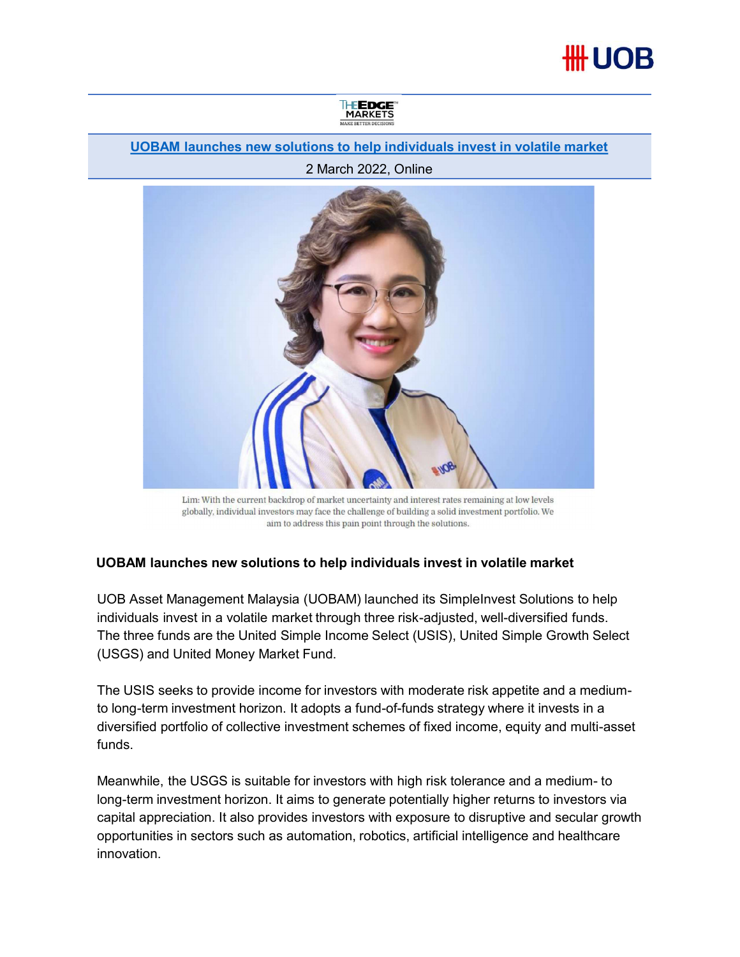## **##UOB**



## UOBAM launches new solutions to help individuals invest in volatile market

## 2 March 2022, Online



## UOBAM launches new solutions to help individuals invest in volatile market

individuals invest in a volatile market through three risk-adjusted, well-diversified funds. The three funds are the United Simple Income Select (USIS), United Simple Growth Select (USGS) and United Money Market Fund.

The USIS seeks to provide income for investors with moderate risk appetite and a mediumto long-term investment horizon. It adopts a fund-of-funds strategy where it invests in a diversified portfolio of collective investment schemes of fixed income, equity and multi-asset funds.

Um: With the curricular states are maintained a for the curricular states are maining at low levels globally, individual investors may face the challenge of building a solid investment perfolio. We am to addetes the pain p long-term investment horizon. It aims to generate potentially higher returns to investors via capital appreciation. It also provides investors with exposure to disruptive and secular growth opportunities in sectors such as automation, robotics, artificial intelligence and healthcare innovation.